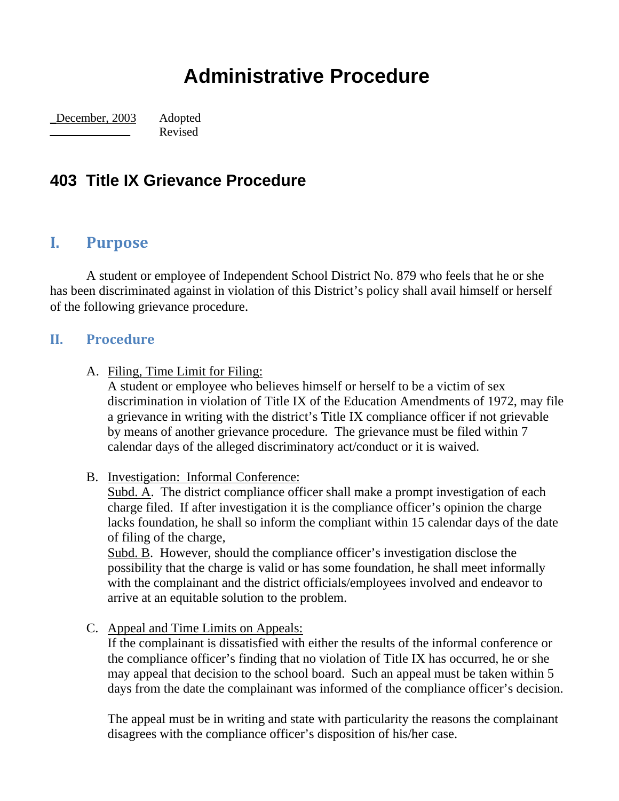# **Administrative Procedure**

\_December, 2003 Adopted Revised

## **403 Title IX Grievance Procedure**

### **I. Purpose**

 A student or employee of Independent School District No. 879 who feels that he or she has been discriminated against in violation of this District's policy shall avail himself or herself of the following grievance procedure.

#### **II. Procedure**

#### A. Filing, Time Limit for Filing:

A student or employee who believes himself or herself to be a victim of sex discrimination in violation of Title IX of the Education Amendments of 1972, may file a grievance in writing with the district's Title IX compliance officer if not grievable by means of another grievance procedure. The grievance must be filed within 7 calendar days of the alleged discriminatory act/conduct or it is waived.

B. Investigation: Informal Conference:

Subd. A. The district compliance officer shall make a prompt investigation of each charge filed. If after investigation it is the compliance officer's opinion the charge lacks foundation, he shall so inform the compliant within 15 calendar days of the date of filing of the charge,

Subd. B. However, should the compliance officer's investigation disclose the possibility that the charge is valid or has some foundation, he shall meet informally with the complainant and the district officials/employees involved and endeavor to arrive at an equitable solution to the problem.

C. Appeal and Time Limits on Appeals:

If the complainant is dissatisfied with either the results of the informal conference or the compliance officer's finding that no violation of Title IX has occurred, he or she may appeal that decision to the school board. Such an appeal must be taken within 5 days from the date the complainant was informed of the compliance officer's decision.

The appeal must be in writing and state with particularity the reasons the complainant disagrees with the compliance officer's disposition of his/her case.